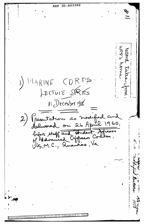REF ID: A63362 Monda Lakar IHAINE CORFS 11 December 1956 Mesentation as modified and before staff a and student Approved for Release by NSA on 11-21-2013 pursuant to E.O.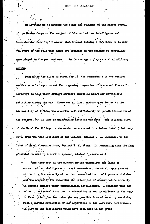In inviting me to address the staff and students of the Senior School of the Marine Corps on the subject of "Communications Intelligence and Communication Security" I assume that General Twining's objective is to make you aware of the role that these two branches of the science of cryptology have played in the past and can in the future again play as a vital military yeapon. Soon after the close of World War II, the commandants of our various service schools began to ask the cryptologic agencies of the Armed Forces for lecturers to tell their student officers something about our cryptologic activities during the war. There was at first serious question as to the advisability of lifting the security veil sufficiently to permit discussion of the subject, but in time an affirmative decision was made. The official views of the Naval War College on the matter were stated in a letter dated 5 February 1946, from the then President of the College, Admiral R. A. Spruance, to the Chief of Naval Communications, Admiral E. E. Stone. In commenting upon the fine presentation made by a certain speaker, Admiral Spruance said: "His treatment of the subject matter emphasized the value of communication intelligence to naval commanders, the vital importance of maintaining the security of our own communication intelligence activities, and the necessity for observing the principles of communication security in defense against enemy communication intelligence. I consider that the value to be derived from the indoctrination of senior officers of the Navy

from a partial revelation of our activities in the past war, particularly in view of the disclosures which have been made in the press.

in these principles far outweighs any possible loss of security resulting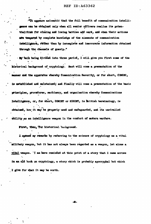The appears axiomatic that the full benefit of communication intelligence can be obtained only when all senior officers realize its potentimlities for winning and losing battles and wars, and when their actions are tempored by complete knowledge of the elements of communication intelligence, rather than by incomplete and inaccurate information obtained through the channels of gossip."

- My talk being divided into three period, I will give you first some of the historical background of cryptology. Next will come a presentation of the manner and the apparatus whereby Communication Security, or for short, COMSEC, is established and maintained; and finally vill come a presentation of the basic principles, procedures, machinery, and organization whereby Communications Intelligence, or, for short, COMINT or SIGINT, in British terminology, is obtained, how it may be properly used and safeguarded, and its unrivalled utility as an intelligence weapon in the conduct of modern warfare.

First, then, "for historical background.

÷.

I opened my remarks by referring to the science of cryptology as a vital military waapon, but it has not always been regarded as a weapon, let alone a vital weapon. I am here reminded at this point of a story that I came across in an oid book on cryptology, a story which is probably apocryphal but which I give for what it may be worth.

-2-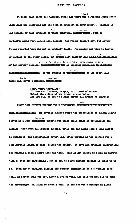lived It seems that about two thousand years ago there mus a Persian queen named where the main seminaria, and who took an interest in cryptology... Whether it for reasons was because of that interest or/other unnatural admonsmituses, such as curiosity about what people call secrets, the record doesn't say, but anyhow it was reported that she met an untimely death. Presumably she went to Heaven, she that or perhaps to the other place, but hawing left instructions membershemingsonicion: were to be placed in a golden sarcophagus within xmf her earthly remains, thughchunkterfunctur an imposing mausoleum importancement which, memoraphragements memorable de the outside of thexamomodesus; on its front wall, to be saying: there was/carved a message, minimixumidix Stay, weary traveller! If thou art footsore, hungry, or in need of money-Unlook the riddle of the cipher graven below-And you will be led to riches beyond all dreams of avarice! and Below this curious message was a cryptogram EdmonomyxXxmmxMxshmmxyon what the koshad middax for several hundred years the possibility of sudden wealth to many served as a lure hammkingthe experts who tried their hands at deciphering the message, They were ald without success, until one day, along came a long-haired, be-whiskered, and bespectacled savant who, after working at the project for a considerable length of time, solved the cipher. It gave him detailed instructions for finding a secret entry into the tomb. When he got inside he found an instruction to open the sarcophagus, but he had to solve another message in order to do so. Possibly it involved finding the correct combination to a 5-tumbler lock! Well, he solved that one too, after a lot of work, and this enabled him to open the sarcophagus, in which he found a box. In the box was a message in plain

 $-3-$ 

÷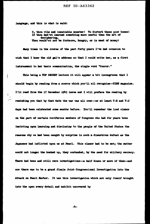language, and this is what is said:

 $\overline{1}$ 

Ť

للمرد

O, thou vile and insatiable monster! To disturb these poor bones! If thou had'st learned something more useful than the art of deciphering, Thou would'st not be footsore, hungry, or in need of money!

Many times in the course of the past forty years I've had occasion to wish that I knew the old gal's address so that I could write her, as a first indorsement to her basic communication, the single word "Concur."

This being a TOP SECRET lecture it will appear a bit incongruous that I should begin by reading from a source which you'll all recognize--TIME magazine. I'll read from the 17 December 1945 issue and I will preface the reading by reminding you that by that date the war was all over--or at least V-E and V-J days had been celebrated some months before. You'll remember the loud clamor on the part of certain vociferous members of Congress who had for years been insisting upon learning and disclosing to the paople of the United States the reasons why we had been caught by surprise in such a disastrous defeat as the Jayanese had inflicted upon us at Pearl. This classor had to be met; the matter could not longer the hushed up, they contended, by the need for military secrecy. There had been and still were investigations--a half dozen or more of them--and now there was to be a grand finale Joint Congressional Investigation into the Attack on Pearl Harbor. It was this investigation which not only itself brought into the open every detail and exhibit uncovered by

-4-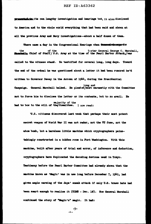swamaniairing its own langthy investigation and hearings but, it also disclosed to America and to the whole world everything that had been said and shown at all the previous Army and Navy investigations--about a half dozen of them.

There came a day in the Congressional Hearings when Commentates agents the of the 5-star General George C. Marshall, Manushakky Chief of Staff / U.S. Army at the time of the Pearl Harbor Attack, was called to the witness stand. He testified for several long, long days. Toward the end of the ordeal he was questioned about a letter it had been rumored he'd written to Governor Dewey in the Autumn of 1944, during the Presidential Long and<br>Campaign. General Marshall balked. He plesded/most earnestly with the Committee not to force him to disclose the letter or its contents, but to no avail. He majority of the had to bow to the will of the/Committee. I now read:

'U.S. citizens discovered last week that perhaps their most potent secret weapon of World War II was not radar, not the WT fuse, not the atom bomb, but a harmless little machine which cryptographers painstakingly constructed in a hidden room in Fort Washington. With this machine, built after years of trial and error, of inference and deduction, cryptographers have duplicated the decoding devices used in Tokyo. Testimony before the Pearl Harbor Committee had already shown that the machine known as 'Magic' was in use long before December 7, 1941, had given ample warning of the Japs' sneak attack if only U.S. brass hats had been smart enough to realize it (TIME - Dec. 19). Now General Marshall continued the story of "Magic's" magic. It had:

> $-5-$ للماس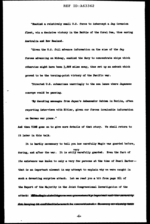"Enabled a relatively small U.S. force to intercept a Jap invasion fleet, win a decisive victory in the Battle of the Coral Sea, thus saving Australia and New Zealand.

"Given the U.S. full advance information on the size of the Jap forces advancing on Midway, enabled the Navy to concentrate ships which otherwise might have been 3, \$\$\$ miles away, thus set up an ambush which proved to be the turning-point victory of the Pacific war.

"Directed U.S. submarines unerringly to the sea lanes where Japanese convoys would be passing.

"By decoding messages from Japan's Ambassador Oshima in Berlin, often reporting interviews with Hitler, given our forces invaluable information on German war plans."

And then TDG goes on to give more details of that story. We shall return to it later in this talk.

It is hardly necessary to tell you how carefully Magic was guarded before, very during, and after the war. It is still carefully guarded. Even the fact of its existence was known to only a very few persons at the time of Pearl Harbor-that is an important element in any attempt to explain why we were caught in such a devasting surprise attack. Let me read you a bit from page 261 of the Report of the Najority in the Joint Congressional Investigation of the attackt Millionifagionándelidganomonacquamentamatiqu impantamiculationousestat x5cm.htmcpd.com/dissemiddenddendmommods.htms.commontalanetenistes.html mommongs.newsday.html

=6=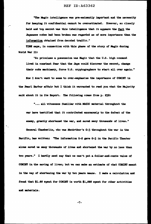"The Magic intelligence was pre-eminently important and the necessity for keeping it confidential cannot be overestimated. However, so closely held and top secret was this intelligence that it appears the fact the Japanese codes had been broken was regarded as of more importance than the information obtained from decoded traffic."

TIME says, in connection with this phase of the story of Magic during World War II:

 $\cdot$   $-$ 

 $\overline{1}$ 

"So priceless a possession was Magic that the U.S. high command lived in constant fear that the Japs would discover the secret, change their code machinery, force U.S. cryptographers to start all over again."

Now I don't want to seem to over-emphasize the importance of COMINT in the Pearl Harbor affair but I think it warranted to read you what the Majority said about it in its Report. The following comes from p. 232:

"... all witnesses familiar with MAGIC material throughout the war have testified that it contributed enormously to the defeat of the enemy, greatly shortened the war, and saved many thousands of lives." General Chamberlin, who was MacArthur's G-3 throughout the war in the Pacific, has written: "The information G-2 gave G-3 in the Pacific Theater alone saved us many thousands of lives and shortened the war by no less than two years." I hardly need say that we can't put a dollar-and-cents value of COMINT in the saving of lives; but we can make an estimate of what COMINT meant in the way of shortening the war by two years means. I made a calculation and found that \$1.66 spent for COMINT is worth \$1,999 spent for other activities and materials.

 $-7-$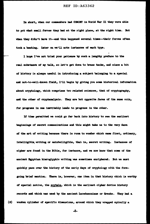In short, when our commanders had COMINT in World War II they were able to put what small forces they had at the right place, at the right time. But when they didn't have it--and this happened several times--their forces often took a beating. Later on we'll note instances of each type.

I hope I've not tried your patience by such a lengthy preface to the real substance of my talk, so let's get down to brass tacks, and since a bit of history is always useful in introducing a subject belonging to a special and not-to-well-known field, I'll begin by giving you some historical information about cryptology, which comprises two related sciences, that of cryptography, and the other of cryptanalysis. They are but opposite faces of the same coin, for progress in one inevitably leads to progress in the other.

If time parmitted we could go far back into history to see the earliest beginnings of secret communications and this might take us to the very dawn of the art of writing because there is room to wonder which came first, ordinary, intelligible writing or unintelligible, that is, secret writing. Instances of eipher are found in the Bible, for instance, and we now know that some of the ancient Egyptian hieroglyphic writing was sometimes enciphered. But we must quickly pass over the history of the early days of oryptology with the foregoing brief mention. There is, however, one item in that history which is worthy of special notice, the scytale, which is the earliest cipher device history records and which was used by the ancient Lacedamonians or Greeks. They had a wooden cylinder of specific dimensions, around which they wrapped spirally a

 $-8-$ 

 $(2)$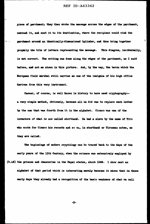piece of parchment; they then wrote the message across the edges of the parchment, unwound it, and sent it to its destination, where the recipient would wind the parchment around an identically-dimensioned bylinder, and thus bring together properly the bits of letters representing the message. This diagram, incidentally, is not correct. The writing was done along the edges of the parchment, as I said before, and not as shown in this picture. And, by the way, the baton which the European field marshal still carries as one of the insignia of his high office derives from this very instrument.

 $\pmb{\cdot}$ 

Caesar, of course, is well known in history to have used cryptography -a very simple method, obviously, because all he did was to replace each letter by the one that was fourth from it in the alphabet. Cicero was one of the inventors of what is now called shorthand. He had a slave by the name of Tiro who wrote for Cieero his records and so on, in shorthand or Tironean notes, as they are called.

The beginnings of modern cryptology can be traced back to the days of the early years of the 15th Century, when the science was extensively employed by (4.16) the princes and chanceries in the Papal states, about 1466. I show next an alphabet of that period which is interesting merely because it shows that in those early days they already had a recognition of the basic weakness of what we call

-9-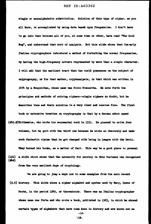single or monoalphabetic substitution. Solution of this type of cipher, as you all know, is accomplished by using data based upon frequencies. I don't have to go into that because all of you, at some time or other, have read "The Gold Bug", and understand that sort of analysis. But this slide shows that the ently Italian cryptographers introduced a method of disturbing the normal frequencies, by having the high-frequency letters represented by more than a single character. I will add that the earliest tract that the world possesses on the subject of eryptography, or for that matter, cryptanalysis, is that which was written in 1474 by a Neapolitan, whose name was Sicco Simonetta. He sets forth the principles and methods of solving ciphers--simple ciphers no doubt, but he describes them and their solution in a very clear and concise form. The first book or extensive treatise on cryptography is that by a German abbot named (245.2)Trithemius, who wrote his monumental work in 1531. He planned to write four volumes, but he quit with the third one because he wrote so obscurely and made such fantastic claims that he got charged with being in league with the Devil. They burned his books, as a matter of fact. This may be a good place to present a slide which shows that the necessity for secrecy in this business was recognized

from the very earliest days of cryptology.

 $(151)$ 

 $(242)$ 

We are going to jump a ways now to some examples from the more recent (3.5) history. This slide shows a cipher alphabet and system used by Mary, Queen of Scots, in the period 1545, or thereabouts. There was an Italian cryptographer whose name was Porta and who wrote a book, published in 1563, in which he showed certain types of alphabets that have come down in history and are known now as  $-10-$ 

 $-12 -$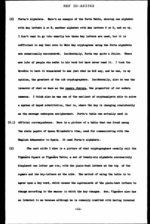- $(6)$ Porta's Alphabets. Here's an example of the Porta Table, showing one alphabet with key letters A or B, another alphabet with key letters C or D, and so on. I don't want to go into exactly how those key letters are used, but it is sufficient to say that even to this day cryptograms using the Porta alphabets are cocasionally encountered. Incidentally, Porta was quite a fellow. There are lots of people who refer to his book but have never read it. I took the trouble to have it translated to see just what he did say, and he was, in my opinion, the greatest of the old cryptographers. Incidentally, also he was the inventor of what we know as the camera obscure, the progenitor of our modern cameras. I think also he was one of the earliest of cryptanalysts able to solve a system of keyed substitution, that is, where the key is changing consistently as the message undergoes encipherment. Porta's table was actually used in (6.1) official correspondence. Here is a picture of a table that was found among the state papers of Queen Elizabeth's time, used for communicating with the English Ambassador to Spain. It used Porta's alphabets.
	- $(5)$ The next slide I show is a picture of what cryptographers usually call the Vigenere Square or Vigenere Table; a set of twenty-six alphabets successively displaced one letter par row, with the plain-text letters at the top of the square and the key-letters at the side. The method of using the table is to agree upon a key word, which causes the equivalents of the plain-text letters to change according to the manner in which the key changes. Now, Vigenere also has an interest to me because although he is commonly credited with having invented

-11-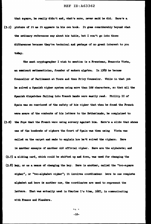that square, he really didn't and, what's more, never said he did. Here's a (5.1) picture of it as it appears in his own book. It goes considerably beyond what the ordinary references say about his table, but I won't go into those differences because they're technical and perhaps of no great interest to you toiay.

The next cryptographer I wish to mention is a Frenchman, Francois Vieta, an emminent mathematician, founder of modern algebra. In 1589 he became Councellor of Parliament at Tours and then Privy Counselor. While in that job he solved a Spanish cipher system using more than 599 characters, so that all the Spanish dispatches falling into French hands were easily read. Phillip II of Spain was so convinced of the safety of his cipher that when he found the French were aware of the contents of his letters to the Netherlands, he complained to (5.2) the Pope that the French were using sorcery against him. Here's a slide that shows one of the hundreds of ciphers the Court of Spain was then using Vieta was salled on the carpet and made to explain how he'd solved the ciphers. Here is another example of another old official cipher. Here are the alphabets; and (3.7) a sliding card, which could be shifted up and down, was used for changing the (3.8) hey, or as a means of changing the key. Here is another, called the "two-square eipher", or "two-alphabet cipher"; it involves coordinates: here is one complete alphabet and here is another one, the coordinates are used to represent the letters. That was actually used in Charles I's time, 1627, in communicating with France and Flanders.

> $\sim$   $\pm$  $-12-$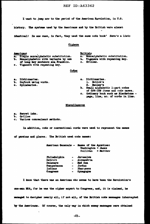I want to humn now to the period of the American Revolution, in U.S.

history. The systems used by the Americans and by the British vere almost

identical! In one case, in fact, they used the same code book' Here's a list;

#### Ciphers

#### Americant

- a. Simple monoalphabetic substitution.
- b. Monoalphabetic with variants by use
- of long key sentence ala Franklin.
- c. Vigenere with repeating key.
- 
- a. Dictionaries.<br>b. Keybook using words.<br>c. Syllabaries.
- 

a. Dictionaries. 1. Entick's 2. Bailey's b. Small alphabetic 1-part codes of 665-769 items and code names. c. Ordinary book such as Blackstone page, line, no. of words in line.

## Miscellaneous

- a. Secret inks.<br>b. Grilles
- 
- c. Various concealment methods.

J.

In addition, code or conventional words were used to represent the names

of persons and places. The British used code names:

| American Generals - |                | Names of the Apostles:<br>Washington = James<br>Sullivan = Matthew |  |
|---------------------|----------------|--------------------------------------------------------------------|--|
| Philadelphia        |                | Jerusalem                                                          |  |
| Detroit             | $\blacksquare$ | Alexandria                                                         |  |
| Delaware            |                | Red Sea                                                            |  |
| <b>Susquebanna</b>  |                | Jordan                                                             |  |
| Indians             |                | Pharasces                                                          |  |
| Congress            | $\blacksquare$ | Synagogue                                                          |  |

I know that there was an American who seems to have been the Revolution's one-man HSA, for he was the cipher expert to Congress, and, it is claimed, he managed to decipher nearly all, if not all, of the British code messages intercepted by the Americans. Of course, the only way in which enemy massages were obtained

- British: a. Monoalphabetic substitution. b. Vigenere with repeating key.
- $c.$   $0r$  illes.
- Codes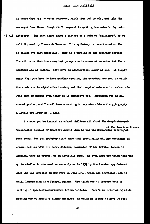in those days was to seize couriers, knock them out or off, and take the messages from them. Rough stuff compared to getting the material by radio (6.31) intercept The next chart shows a picture of a code or "syllabary", as we call it, used by Thomas Jefferson. This syllabary is constructed on the so-called two-part principle. This is a portion of the decoding section. You will note that the numerical groups are in consecutive order but their meanings are at random. They have no alphabetical order at all. It simply means that you have to have another section, the encoding section, in which the words are in alphabetical order, and their equivalents are in random order. This sort of system even today is in extensive use. Jefferson was an allaround genius, and I shall have something to say about him and cryptography a little bit later on, I hope.

I'm sure you've learned as school children all about the despicable and. of the American Forces treasonable conduct of Benedict Arnold when he was the Commanding General/at West Point, but you probably don't know that practically all his exchanges of communications with Sir Henry Clinton, Commander of the British Forces in America, were in cipher, or in invisible inks. He even used one trick that was quite similar to one used as recently as in 1957 by the Russian spy Colonel Abel who was arrested in New York in June 1957, tried and convicted, and is still languishing in a Federal prison. The trick was to inclose bits of writing in specially-constructed hollow bullets. Here's an interesting slide showing one of Arnold's cipher messages, in which he offers to give up West

-14 -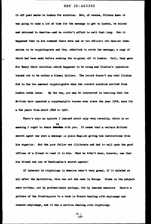it off post haste to London for solution. But, of course, Clinton knew it was going to take a lot of time for the message to get to London, be solved and returned to America--and he couldn't afford to wait that long. Now it happened that in his command there were one or two officers who fancied themselves to be cryptologists and they undertook to solve the message, a copy of which had been made before sending the original off to London. Well, they gave Sir Henry their solution--which happened to be wrong and Clinton's operation turned out to be rather a dismal failure. The record doesn't say what Clinton did to the two amateur cryptologists when the correct solution arrived from London veeks later. By the way, you way be interested in learning that the British have operated a cryptanalytic bureau ever since the year 1549, save for a few years from about 1859 to 1914.

There's also an episode I learned about only very recently, which is so łt amusing I ought to share thurston with you. It seems that a certain British secret agent was sent a message in plain English giving him instructions from his superior. But the poor fellow was illiterate and had to call upon the good offices of a friend to read it to him. What he didn't know, however, was that his friend was one of Washington's secret agents!

If interest in cryptology in America wasn't very great, if it existed at all after the Revolution, this was not the case in Europe Books on the subject were written, not by professionals perhaps, but by learned amateurs Here's a picture of the frontispiece to a book in French dealing with espionage and counter-espionage, and it has a section dealing with cryptology.

$$
-1. -
$$
  
-16-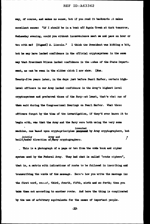way, of course, and makes no sense, but if you read it backwards it makes excellent sense: "If I should be in a boat off Aguia Creek at dark tomorrow. Wednesday evening, could you without inconvenience meet me and pass an hour or two with me? (Signed) A. Lincoln." I think the President was kidding a bit, but he may have lacked confidence in the official cryptosystems in the same way that President Wilson lacked confidence in the codes of the State Departmant, as can be seen in the slides which I now show. (Nos.

Twenty-five years later, in the days just before Pearl Harbor, certain highlevel officers in our Army lacked confidence in the Army's highest level. cryptosystems and preferred those of the Navy--at least, that's what one of them said during the Congressional Hearings on Pearl Harbor. What these officers forgot by the time of the investigation, if they'd ever known it to begin with, was that the Army and the Navy were both using the very same invented machine, one based upon cryptoprinciples magazed by Army cryptographers, but Army and **jointly** Ī built/under direction of Mavy cryptographers.

This is a photograph of a page or two from the code book and cipher system used by the Federal Army. They had what is called "route ciphers", that is, a matrix with indications of route to be followed in inscribing and transcribing the words of the message. Here's how you write the message in: the first word, second, third, fourth, fifth, sixth and so forth; then you take them out according to another route. And here the thing is complicated by the use of arbitrary equivalents for the names of important people.

 $-19-$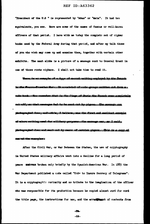"President of the U.S " is represented by "Adam" or "Asia". It had two equivalents, you see. Here are some of the names of famous or well-known officers of that period. I have with me today the complete set of cipher books used by the Federal Army during that period, and after my talk those of you who wish may come up and examine them, together with certain other exhibits. The next slide is a picture of a message sent to General Grant in one of those route ciphers. I shall not take time to read it.

**"මානානාරණයනාගනාගන්නාරණයක් ලෙස සංඛ්යානය සංගමනය සංගමය අතර සංගමය අවස්ථාව සංගමය සිතිය සම්බන්ධ** ්ස්සුවේල්ලගුල්වායම් ප්රතිශ්රාත්මක් ප්රතිශ්රාත්වය ප්රතිශ්රාත්වයක් ප්රතිශ්රාත්වය අතර අතර ප්රතිශ්රාත්වය අතර සම්බන caria railik postavljuka nasestanje s obače okončanje obače obačenje općena v sliječno presto dana. ෦෯෨෦෩෩෦෨෯෦෪෮ඁ෭෯෨෩෬෦෨෯෬෧෯෯෪෩෬෮ඁ෭ඁ෭෯ඁ෧෯෯෨෦෧෬෬෯෩෮෬෯෮෨෧෦෬෬෯෮෬෧෩෯෯෧෧෯෬෧෪෧෯෯෯ඁ෧ ett radsona markinlag mund rönat raddalasog radstandet mið armönnaga meðu rönn rinn han phortongonoglassic ritorax randomaxis randorigs randatos railroadusidats railants como in temportosium antiqu **COME XOLE X STANE MECHANICAL BOOK X** 

After the Civil War, or War Between the States, the use of cryptography in United States military affairs went into a decline for a long period of peace WHIXWAW broken only briefly by the Spanish-American War. In 1885 the War Department published a code called "Code to Insure Secrecy of Telegrams". It is a eryptographic curiosity and no tribute to the imagination of the officer who was responsible for its production because he copied almost word for word the title page, the instructions for use, and the arrangingent of contents from

-28-

 $-20-$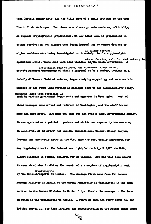REF ID: A63362 '

then Captain Farker Hitt; and the title page of a small brochure by the then Lieut. J. O. Mauborgne. But these were almost private ventures; officially, as regards cryptographic preparations, no new codes were in preparation in either Service; no mew ciphers were being dreamed up; no cipher devices or in either Service. cipher machines were being investigated or invented, As for cryptenalytic either Sertice, and, for that matter, in operations--well, there just were none whatever in/the whole government. A institution near Chicago, the Riverbank Laboratories, private research/katumatumy of which I happened to be a member, working in a totally different field of science, began studying cryptology and soon certain members of the staff were working on messages sent to the laboratoriesfor study, messages which were furnished us assi by various government departments and agencies in Washington. Most of these massages were solved and returned to Washington, and the staff became more and more adept. But mind you this was not even a quasi-governmental agency, it was operated as a patriotic gesture and at his own expense by the man who, in 1915-1916, as an astute and wealthy business-man, Colonel George Fabyan, foresaw the inevitable entry of the U.S. into the war, wholly unprepared for any cryptologic work. The Colonel was right, for on 6 April 1917 the U.S., almost suddenly it seemed, declared war on Germany. How did this come about? It came about when it did as the result of a nicepiece of cryptanalytic work cryptanalytic by the British/experts in London. The message first came from the German Foreign Minister in Berlin to the German Ambassador in Washington; it was then sent on to the German Minister in Mexico City. Here's the message in the form in which it was transmitted to Mexico. I won't go into the story about how the British solved it, for this involved the reconstruction of two rather large codes

> $-23 \mathbf{r}_k$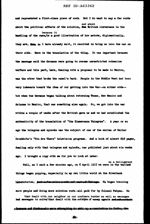and represented a first-class piece of work. But I do want to say a few words and about about the political effects of the solution, fee British cleverness in the because it handling of the case, is a good illustration of how astute, diplomatically, they are, imm As I have already said, it resulted in bring us into the war on their side. Here is the translation of the thing. It was important because the message said the Germans were going to reaume unrestricted submarine warfare and this part, here, dealing with a proposal to be made to Mexico, was the straw that broke the camel's back. People in the Middle West had been very lukewarm toward the idea of our getting into the War--on either side-but when the Germans began talking about returning Texas, New Mexico and Arizona to Mexico, that was something else again. So, we got into the war within a couple of weeks after the British gave us and we had established the authenticity of the translation of "the Zimmermann Telegram". A year or so ago the telegram and episode was the subject of one of the series of Walter Cronkhite's "You Are There" television programs. And a book of almost 259 pages, dealing only with that telegram and episode, was published just about six weeks ago. I brought a copy with me for you to look at later.

as a belligerent Well, as I said a few minutes ago, on 6 April 1917 we were in the war/and things began popping, especially in my own little world at the Riverbank Laboratories, juskomofusomálesonomikandoumstonikolkionga. Ve began training more people and doing more solution work--all paid for by Colonel Fabyan. We that dealt with our neighbor on our southern border as well as messages had messages to solve/that dealt with the activities of enemy agents makes hereinded

#### v flemmann canit riidnimaan hocwerte vahbemohtnischocmatorum asonemohuhdon okuciindimootaler.

- 站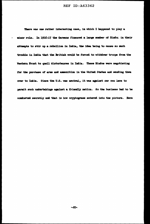There was one rather interesting case, in which I happened to play a minor role. In 1916-17 the Germans financed a large number of Hinduk in their attempts to stir up a rebellion in India, the idea being to cause so much trouble in India that the British would be forced to withdraw troops from the Western Front to quell disturbances in India. These Hindus were negotiating for the purchase of arms and ammunition in the United States and sending them over to India. Since the U.S. was neutral, it was against our own laws to permit such undertakings against a friendly nation. So the business had to be conducted secretly and that is how cryptograms entered into the picture. Here

 $\bullet$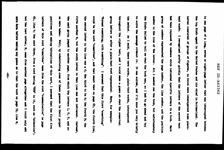# 丙 ID: A63362

had been replaced by musicare which indicated specific letters in a book. would be the word "committer", and that meant that on page 65, the fourth line, throughout the cipher text, and I would make a guess at what the numerical. the Hindu failed to tell me what the book was, so I had to go ahead and try number in the line of the letter. All I needed was the book, but unfortunately text words. I recognized pretty quickly that the letters of the secret text but the last letter, E, came from another page altogether and I could only add 65, 111m 4; the next three, from a word having "TIE" in it, such as "attention"; positions and making tabulations of this sort, I assumed that the fire the next group jumped to enother page, from which the latter I, T, T, and so fifth another N, but the sixth letter in that line was not initoated. Instead, great before or after a non-sideases rend road reacher in the annual core or example: the method. to solve the meage without it. It was solved, and I'll show you very briefly group of numbers regressered the page number, the 11ne author, and the position later constants of all and a constant and in the stream of fitch witch witch of fitch of the constants of the the top Himin agent in the United States and his chief in Suitsenians. is one page of a long, seven or that-page letter that was intercepted between latters of this word "committee" came from the word "communication" on page con where taking. the second letter in the line was a C; the third to be O; the fourth M; the "Formed something, with something". I assumed that finis first "something" As I said, there were proba, plain-text vorts, interepersed Vell, by substituting some of these swasses in their proper r<br>S **Bach** 

 $-98-$ 

mire date before making any guess as to what the word on page 72, line 2,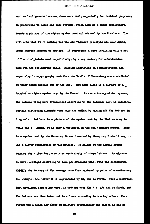various belligerents because, these were used, especially for tactical purposes, in preference to codes and code systems, which came as a later development. Here's a picture of the cipher system used and misused by the Russians. You will note that it is nothing but the old Vigenere principle all over again, using numbers instead of letters. It represents a case involving only a set of 7 or 8 alphabets used repetitively, by a key number, for substitution. This was the deciphering table. Russian ineptitude in communications and eapecially in cryptography cost them the Battle of Tannenberg and contributed to their being knocked out of the war. The next slide is a picture of a front-line cipher system used by the French. It was a transposition system, the columns being here transcribed according to the columnar key; in addition, certain disturbing elements came into the method by taking off the letters in diagonals. And here is a picture of the system used by the Italian Army in World War I. Again, it is only a variation of the old Vigenere system. Here is a system used by the Germans; it was invented by them, or, I should say, it was a clever combination of two methods. We called it the ADFGVX cipher because the cipher text consisted exclusively of those letters. An alphabet in here, arranged according to some pre-arranged plan, with the coordinates ADFOVX; the letters of the message were then replaced by pairs of coordinates; for example, the latter R is represented by AG, and so forth. Then a numerical key, developed from a key word, is written over the X's, A's and so forth, and the letters are then taken out in columns according to the key order. That system was a brand new thing in military cryptography and caused no end of

-26-